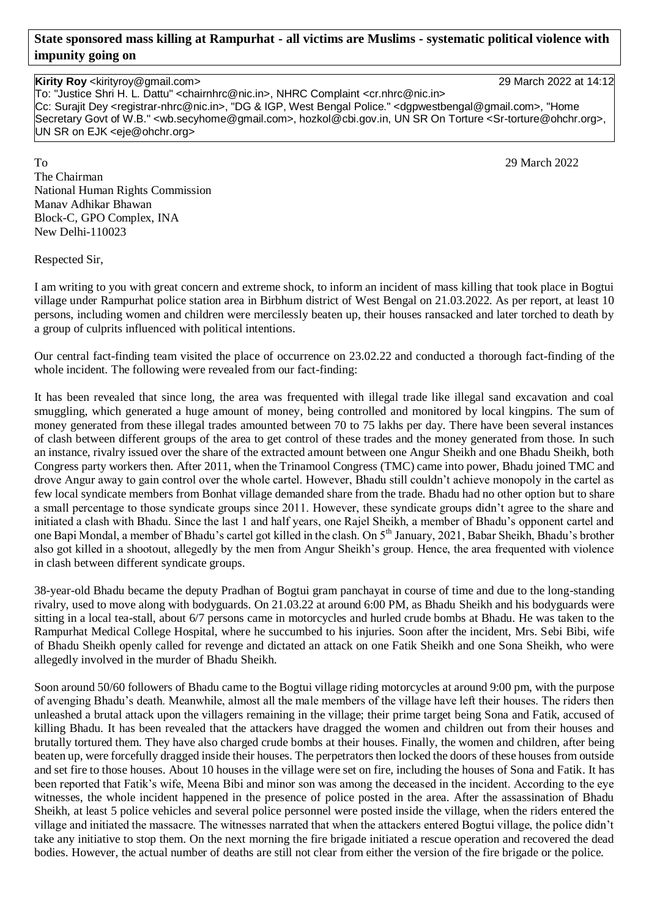## **State sponsored mass killing at Rampurhat - all victims are Muslims - systematic political violence with impunity going on**

**Kirity Roy** <kirityroy@gmail.com> 29 March 2022 at 14:12 To: "Justice Shri H. L. Dattu" <chairnhrc@nic.in>, NHRC Complaint <cr.nhrc@nic.in> Cc: Surajit Dey <registrar-nhrc@nic.in>, "DG & IGP, West Bengal Police." <dgpwestbengal@gmail.com>, "Home Secretary Govt of W.B." <wb.secyhome@gmail.com>, hozkol@cbi.gov.in, UN SR On Torture <Sr-torture@ohchr.org>, UN SR on EJK <eje@ohchr.org>

To 29 March 2022 The Chairman National Human Rights Commission Manav Adhikar Bhawan Block-C, GPO Complex, INA New Delhi-110023

Respected Sir,

I am writing to you with great concern and extreme shock, to inform an incident of mass killing that took place in Bogtui village under Rampurhat police station area in Birbhum district of West Bengal on 21.03.2022. As per report, at least 10 persons, including women and children were mercilessly beaten up, their houses ransacked and later torched to death by a group of culprits influenced with political intentions.

Our central fact-finding team visited the place of occurrence on 23.02.22 and conducted a thorough fact-finding of the whole incident. The following were revealed from our fact-finding:

It has been revealed that since long, the area was frequented with illegal trade like illegal sand excavation and coal smuggling, which generated a huge amount of money, being controlled and monitored by local kingpins. The sum of money generated from these illegal trades amounted between 70 to 75 lakhs per day. There have been several instances of clash between different groups of the area to get control of these trades and the money generated from those. In such an instance, rivalry issued over the share of the extracted amount between one Angur Sheikh and one Bhadu Sheikh, both Congress party workers then. After 2011, when the Trinamool Congress (TMC) came into power, Bhadu joined TMC and drove Angur away to gain control over the whole cartel. However, Bhadu still couldn't achieve monopoly in the cartel as few local syndicate members from Bonhat village demanded share from the trade. Bhadu had no other option but to share a small percentage to those syndicate groups since 2011. However, these syndicate groups didn't agree to the share and initiated a clash with Bhadu. Since the last 1 and half years, one Rajel Sheikh, a member of Bhadu's opponent cartel and one Bapi Mondal, a member of Bhadu's cartel got killed in the clash. On 5<sup>th</sup> January, 2021, Babar Sheikh, Bhadu's brother also got killed in a shootout, allegedly by the men from Angur Sheikh's group. Hence, the area frequented with violence in clash between different syndicate groups.

38-year-old Bhadu became the deputy Pradhan of Bogtui gram panchayat in course of time and due to the long-standing rivalry, used to move along with bodyguards. On 21.03.22 at around 6:00 PM, as Bhadu Sheikh and his bodyguards were sitting in a local tea-stall, about 6/7 persons came in motorcycles and hurled crude bombs at Bhadu. He was taken to the Rampurhat Medical College Hospital, where he succumbed to his injuries. Soon after the incident, Mrs. Sebi Bibi, wife of Bhadu Sheikh openly called for revenge and dictated an attack on one Fatik Sheikh and one Sona Sheikh, who were allegedly involved in the murder of Bhadu Sheikh.

Soon around 50/60 followers of Bhadu came to the Bogtui village riding motorcycles at around 9:00 pm, with the purpose of avenging Bhadu's death. Meanwhile, almost all the male members of the village have left their houses. The riders then unleashed a brutal attack upon the villagers remaining in the village; their prime target being Sona and Fatik, accused of killing Bhadu. It has been revealed that the attackers have dragged the women and children out from their houses and brutally tortured them. They have also charged crude bombs at their houses. Finally, the women and children, after being beaten up, were forcefully dragged inside their houses. The perpetrators then locked the doors of these houses from outside and set fire to those houses. About 10 houses in the village were set on fire, including the houses of Sona and Fatik. It has been reported that Fatik's wife, Meena Bibi and minor son was among the deceased in the incident. According to the eye witnesses, the whole incident happened in the presence of police posted in the area. After the assassination of Bhadu Sheikh, at least 5 police vehicles and several police personnel were posted inside the village, when the riders entered the village and initiated the massacre. The witnesses narrated that when the attackers entered Bogtui village, the police didn't take any initiative to stop them. On the next morning the fire brigade initiated a rescue operation and recovered the dead bodies. However, the actual number of deaths are still not clear from either the version of the fire brigade or the police.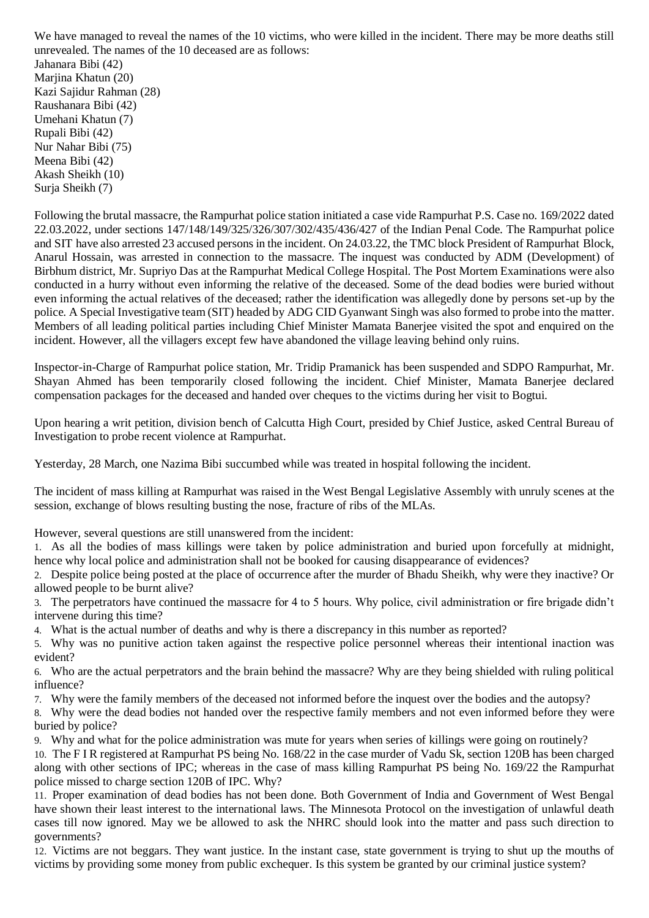We have managed to reveal the names of the 10 victims, who were killed in the incident. There may be more deaths still unrevealed. The names of the 10 deceased are as follows: Jahanara Bibi (42) Marjina Khatun (20) Kazi Sajidur Rahman (28) Raushanara Bibi (42) Umehani Khatun (7) Rupali Bibi (42) Nur Nahar Bibi (75) Meena Bibi (42) Akash Sheikh (10) Surja Sheikh (7)

Following the brutal massacre, the Rampurhat police station initiated a case vide Rampurhat P.S. Case no. 169/2022 dated 22.03.2022, under sections 147/148/149/325/326/307/302/435/436/427 of the Indian Penal Code. The Rampurhat police and SIT have also arrested 23 accused persons in the incident. On 24.03.22, the TMC block President of Rampurhat Block, Anarul Hossain, was arrested in connection to the massacre. The inquest was conducted by ADM (Development) of Birbhum district, Mr. Supriyo Das at the Rampurhat Medical College Hospital. The Post Mortem Examinations were also conducted in a hurry without even informing the relative of the deceased. Some of the dead bodies were buried without even informing the actual relatives of the deceased; rather the identification was allegedly done by persons set-up by the police. A Special Investigative team (SIT) headed by ADG CID Gyanwant Singh was also formed to probe into the matter. Members of all leading political parties including Chief Minister Mamata Banerjee visited the spot and enquired on the incident. However, all the villagers except few have abandoned the village leaving behind only ruins.

Inspector-in-Charge of Rampurhat police station, Mr. Tridip Pramanick has been suspended and SDPO Rampurhat, Mr. Shayan Ahmed has been temporarily closed following the incident. Chief Minister, Mamata Banerjee declared compensation packages for the deceased and handed over cheques to the victims during her visit to Bogtui.

Upon hearing a writ petition, division bench of Calcutta High Court, presided by Chief Justice, asked Central Bureau of Investigation to probe recent violence at Rampurhat.

Yesterday, 28 March, one Nazima Bibi succumbed while was treated in hospital following the incident.

The incident of mass killing at Rampurhat was raised in the West Bengal Legislative Assembly with unruly scenes at the session, exchange of blows resulting busting the nose, fracture of ribs of the MLAs.

However, several questions are still unanswered from the incident:

1. As all the bodies of mass killings were taken by police administration and buried upon forcefully at midnight, hence why local police and administration shall not be booked for causing disappearance of evidences?

2. Despite police being posted at the place of occurrence after the murder of Bhadu Sheikh, why were they inactive? Or allowed people to be burnt alive?

- 3. The perpetrators have continued the massacre for 4 to 5 hours. Why police, civil administration or fire brigade didn't intervene during this time?
- 4. What is the actual number of deaths and why is there a discrepancy in this number as reported?
- 5. Why was no punitive action taken against the respective police personnel whereas their intentional inaction was evident?
- 6. Who are the actual perpetrators and the brain behind the massacre? Why are they being shielded with ruling political influence?
- 7. Why were the family members of the deceased not informed before the inquest over the bodies and the autopsy?
- 8. Why were the dead bodies not handed over the respective family members and not even informed before they were buried by police?
- 9. Why and what for the police administration was mute for years when series of killings were going on routinely?
- 10. The F I R registered at Rampurhat PS being No. 168/22 in the case murder of Vadu Sk, section 120B has been charged along with other sections of IPC; whereas in the case of mass killing Rampurhat PS being No. 169/22 the Rampurhat police missed to charge section 120B of IPC. Why?
- 11. Proper examination of dead bodies has not been done. Both Government of India and Government of West Bengal have shown their least interest to the international laws. The Minnesota Protocol on the investigation of unlawful death cases till now ignored. May we be allowed to ask the NHRC should look into the matter and pass such direction to governments?
- 12. Victims are not beggars. They want justice. In the instant case, state government is trying to shut up the mouths of victims by providing some money from public exchequer. Is this system be granted by our criminal justice system?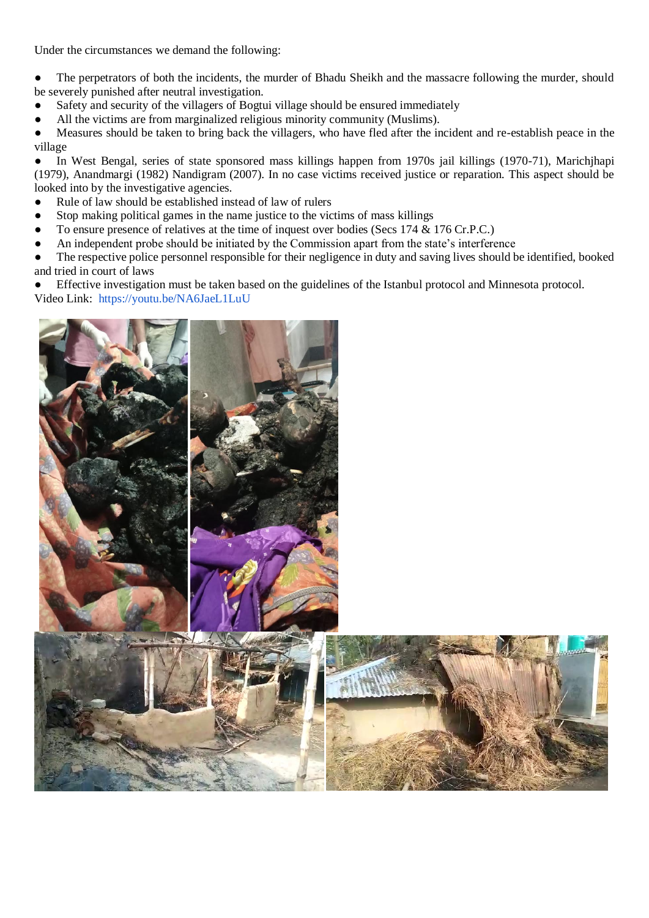Under the circumstances we demand the following:

• The perpetrators of both the incidents, the murder of Bhadu Sheikh and the massacre following the murder, should be severely punished after neutral investigation.

- Safety and security of the villagers of Bogtui village should be ensured immediately
- All the victims are from marginalized religious minority community (Muslims).

● Measures should be taken to bring back the villagers, who have fled after the incident and re-establish peace in the village

● In West Bengal, series of state sponsored mass killings happen from 1970s jail killings (1970-71), Marichjhapi (1979), Anandmargi (1982) Nandigram (2007). In no case victims received justice or reparation. This aspect should be looked into by the investigative agencies.

- Rule of law should be established instead of law of rulers
- Stop making political games in the name justice to the victims of mass killings
- To ensure presence of relatives at the time of inquest over bodies (Secs 174 & 176 Cr.P.C.)
- An independent probe should be initiated by the Commission apart from the state's interference
- The respective police personnel responsible for their negligence in duty and saving lives should be identified, booked and tried in court of laws

Effective investigation must be taken based on the guidelines of the Istanbul protocol and Minnesota protocol. Video Link: <https://youtu.be/NA6JaeL1LuU>